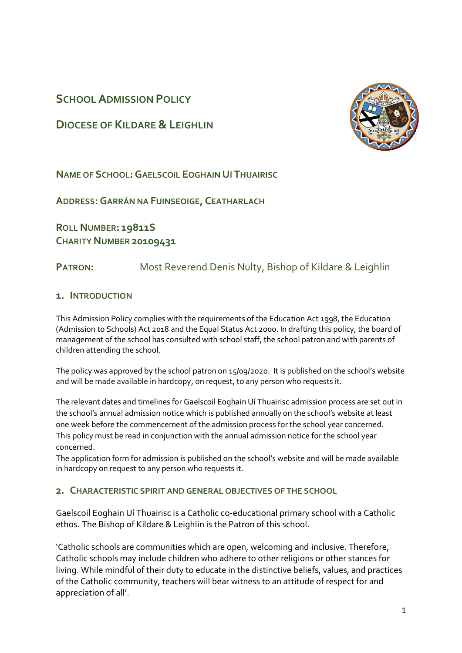# **SCHOOL ADMISSION POLICY**

**DIOCESE OF KILDARE &LEIGHLIN**



**NAME OF SCHOOL:GAELSCOIL EOGHAIN UÍ THUAIRISC**

**ADDRESS:GARRÁN NA FUINSEOIGE, CEATHARLACH**

**ROLL NUMBER: 19811S CHARITY NUMBER 20109431**

# **PATRON:** Most Reverend Denis Nulty, Bishop of Kildare & Leighlin

### **1. INTRODUCTION**

This Admission Policy complies with the requirements of the Education Act 1998, the Education (Admission to Schools) Act 2018 and the Equal Status Act 2000. In drafting this policy, the board of management of the school has consulted with school staff, the school patron and with parents of children attending the school.

The policy was approved by the school patron on 15/09/2020. It is published on the school's website and will be made available in hardcopy, on request, to any person who requests it.

The relevant dates and timelines for Gaelscoil Eoghain Uí Thuairisc admission process are set out in the school's annual admission notice which is published annually on the school's website at least one week before the commencement of the admission process for the school year concerned. This policy must be read in conjunction with the annual admission notice for the school year concerned.

The application form for admission is published on the school's website and will be made available in hardcopy on request to any person who requests it.

### **2. CHARACTERISTIC SPIRIT AND GENERAL OBJECTIVES OF THE SCHOOL**

Gaelscoil Eoghain Uí Thuairisc is a Catholic co-educational primary school with a Catholic ethos. The Bishop of Kildare & Leighlin is the Patron of this school.

'Catholic schools are communities which are open, welcoming and inclusive. Therefore, Catholic schools may include children who adhere to other religions or other stances for living. While mindful of their duty to educate in the distinctive beliefs, values, and practices of the Catholic community, teachers will bear witness to an attitude of respect for and appreciation of all'.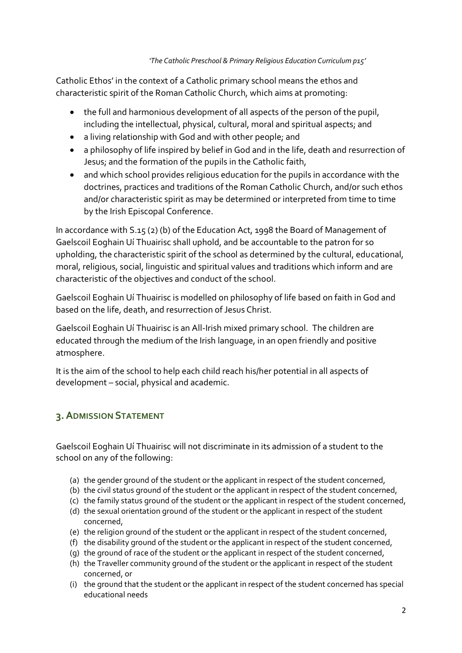#### *'The Catholic Preschool & Primary Religious Education Curriculum p15'*

Catholic Ethos' in the context of a Catholic primary school means the ethos and characteristic spirit of the Roman Catholic Church, which aims at promoting:

- the full and harmonious development of all aspects of the person of the pupil, including the intellectual, physical, cultural, moral and spiritual aspects; and
- a living relationship with God and with other people; and
- a philosophy of life inspired by belief in God and in the life, death and resurrection of Jesus; and the formation of the pupils in the Catholic faith,
- and which school provides religious education for the pupils in accordance with the doctrines, practices and traditions of the Roman Catholic Church, and/or such ethos and/or characteristic spirit as may be determined or interpreted from time to time by the Irish Episcopal Conference.

In accordance with S.15 (2) (b) of the Education Act, 1998 the Board of Management of Gaelscoil Eoghain Uí Thuairisc shall uphold, and be accountable to the patron for so upholding, the characteristic spirit of the school as determined by the cultural, educational, moral, religious, social, linguistic and spiritual values and traditions which inform and are characteristic of the objectives and conduct of the school.

Gaelscoil Eoghain Uí Thuairisc is modelled on philosophy of life based on faith in God and based on the life, death, and resurrection of Jesus Christ.

Gaelscoil Eoghain Uí Thuairisc is an All-Irish mixed primary school. The children are educated through the medium of the Irish language, in an open friendly and positive atmosphere.

It is the aim of the school to help each child reach his/her potential in all aspects of development – social, physical and academic.

# **3.ADMISSION STATEMENT**

Gaelscoil Eoghain Uí Thuairisc will not discriminate in its admission of a student to the school on any of the following:

- (a) the gender ground of the student or the applicant in respect of the student concerned,
- (b) the civil status ground of the student or the applicant in respect of the student concerned,
- (c) the family status ground of the student or the applicant in respect of the student concerned,
- (d) the sexual orientation ground of the student or the applicant in respect of the student concerned,
- (e) the religion ground of the student or the applicant in respect of the student concerned,
- (f) the disability ground of the student or the applicant in respect of the student concerned,
- (g) the ground of race of the student or the applicant in respect of the student concerned,
- (h) the Traveller community ground of the student or the applicant in respect of the student concerned, or
- (i) the ground that the student or the applicant in respect of the student concerned has special educational needs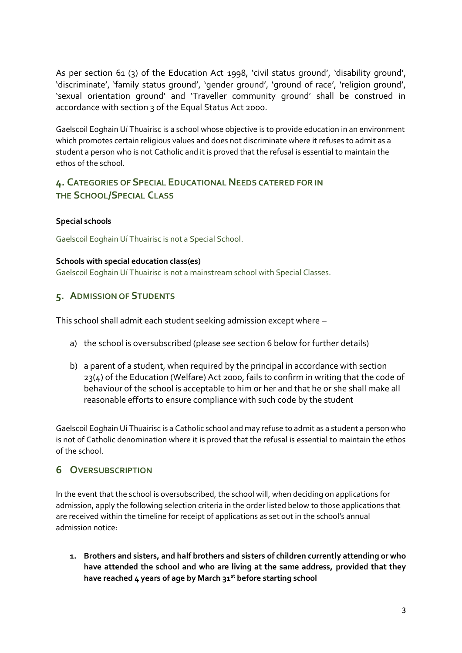As per section 61 (3) of the Education Act 1998, 'civil status ground', 'disability ground', 'discriminate', 'family status ground', 'gender ground', 'ground of race', 'religion ground', 'sexual orientation ground' and 'Traveller community ground' shall be construed in accordance with section 3 of the Equal Status Act 2000.

Gaelscoil Eoghain Uí Thuairisc is a school whose objective is to provide education in an environment which promotes certain religious values and does not discriminate where it refuses to admit as a student a person who is not Catholic and it is proved that the refusal is essential to maintain the ethos of the school.

# **4. CATEGORIES OF SPECIAL EDUCATIONAL NEEDS CATERED FOR IN THE SCHOOL/SPECIAL CLASS**

#### **Special schools**

Gaelscoil Eoghain Uí Thuairisc is not a Special School.

#### **Schools with special education class(es)**

Gaelscoil Eoghain Uí Thuairisc is not a mainstream school with Special Classes.

### **5. ADMISSION OF STUDENTS**

This school shall admit each student seeking admission except where –

- a) the school is oversubscribed (please see [section 6](#page-2-0) below for further details)
- b) a parent of a student, when required by the principal in accordance with section 23(4) of the Education (Welfare) Act 2000, fails to confirm in writing that the code of behaviour of the school is acceptable to him or her and that he or she shall make all reasonable efforts to ensure compliance with such code by the student

Gaelscoil Eoghain Uí Thuairisc is a Catholic school and may refuse to admit as a student a person who is not of Catholic denomination where it is proved that the refusal is essential to maintain the ethos of the school.

### <span id="page-2-0"></span>**6 OVERSUBSCRIPTION**

In the event that the school is oversubscribed, the school will, when deciding on applications for admission, apply the following selection criteria in the order listed below to those applications that are received within the timeline for receipt of applications as set out in the school's annual admission notice:

**1. Brothers and sisters, and half brothers and sisters of children currently attending or who have attended the school and who are living at the same address, provided that they have reached 4 years of age by March 31st before starting school**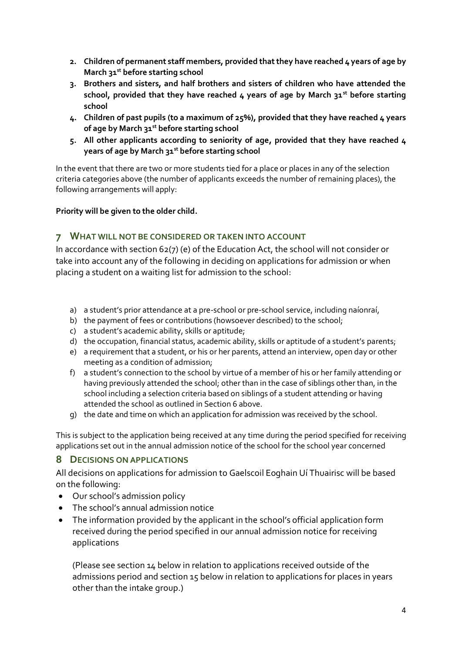- **2. Children of permanent staff members, provided that they have reached 4 years of age by March 31st before starting school**
- **3. Brothers and sisters, and half brothers and sisters of children who have attended the school, provided that they have reached 4 years of age by March 31st before starting school**
- **4. Children of past pupils (to a maximum of 25%), provided that they have reached 4 years of age by March 31st before starting school**
- **5. All other applicants according to seniority of age, provided that they have reached 4 years of age by March 31st before starting school**

In the event that there are two or more students tied for a place or places in any of the selection criteria categories above (the number of applicants exceeds the number of remaining places), the following arrangements will apply:

#### **Priority will be given to the older child.**

#### **7 WHAT WILL NOT BE CONSIDERED OR TAKEN INTO ACCOUNT**

In accordance with section 62(7) (e) of the Education Act, the school will not consider or take into account any of the following in deciding on applications for admission or when placing a student on a waiting list for admission to the school:

- a) a student's prior attendance at a pre-school or pre-school service, including naíonraí,
- b) the payment of fees or contributions (howsoever described) to the school;
- c) a student's academic ability, skills or aptitude;
- d) the occupation, financial status, academic ability, skills or aptitude of a student's parents;
- e) a requirement that a student, or his or her parents, attend an interview, open day or other meeting as a condition of admission;
- f) a student's connection to the school by virtue of a member of his or her family attending or having previously attended the school; other than in the case of siblings other than, in the school including a selection criteria based on siblings of a student attending or having attended the school as outlined in Section 6 above.
- g) the date and time on which an application for admission was received by the school.

This is subject to the application being received at any time during the period specified for receiving applications set out in the annual admission notice of the school for the school year concerned

#### **8 DECISIONS ON APPLICATIONS**

All decisions on applications for admission to Gaelscoil Eoghain Uí Thuairisc will be based on the following:

- Our school's admission policy
- The school's annual admission notice
- The information provided by the applicant in the school's official application form received during the period specified in our annual admission notice for receiving applications

(Please see section 14 below in relation to applications received outside of the admissions period and section 15 below in relation to applications for places in years other than the intake group.)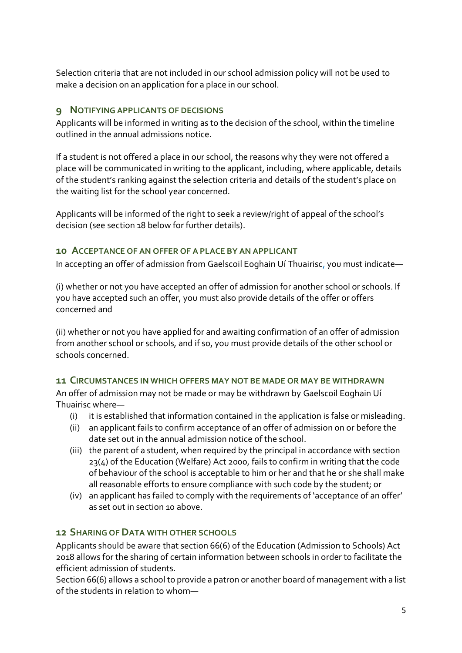Selection criteria that are not included in our school admission policy will not be used to make a decision on an application for a place in our school.

## **9 NOTIFYING APPLICANTS OF DECISIONS**

Applicants will be informed in writing as to the decision of the school, within the timeline outlined in the annual admissions notice.

If a student is not offered a place in our school, the reasons why they were not offered a place will be communicated in writing to the applicant, including, where applicable, details of the student's ranking against the selection criteria and details of the student's place on the waiting list for the school year concerned.

Applicants will be informed of the right to seek a review/right of appeal of the school's decision (see section 18 below for further details).

## <span id="page-4-0"></span>**10 ACCEPTANCE OF AN OFFER OF A PLACE BY AN APPLICANT**

In accepting an offer of admission from Gaelscoil Eoghain Uí Thuairisc, you must indicate—

(i) whether or not you have accepted an offer of admission for another school or schools. If you have accepted such an offer, you must also provide details of the offer or offers concerned and

(ii) whether or not you have applied for and awaiting confirmation of an offer of admission from another school or schools, and if so, you must provide details of the other school or schools concerned.

### **11 CIRCUMSTANCES IN WHICH OFFERS MAY NOT BE MADE OR MAY BE WITHDRAWN**

An offer of admission may not be made or may be withdrawn by Gaelscoil Eoghain Uí Thuairisc where—

- (i) it is established that information contained in the application is false or misleading.
- (ii) an applicant fails to confirm acceptance of an offer of admission on or before the date set out in the annual admission notice of the school.
- (iii) the parent of a student, when required by the principal in accordance with section 23(4) of the Education (Welfare) Act 2000, fails to confirm in writing that the code of behaviour of the school is acceptable to him or her and that he or she shall make all reasonable efforts to ensure compliance with such code by the student; or
- (iv) an applicant has failed to comply with the requirements of 'acceptance of an offer' as set out in [section 10](#page-4-0) above.

# **12 SHARING OF DATA WITH OTHER SCHOOLS**

Applicants should be aware that section 66(6) of the Education (Admission to Schools) Act 2018 allows for the sharing of certain information between schools in order to facilitate the efficient admission of students.

Section 66(6) allows a school to provide a patron or another board of management with a list of the students in relation to whom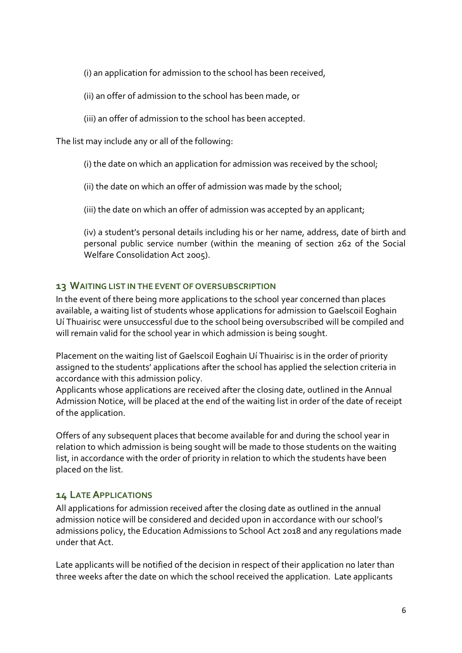(i) an application for admission to the school has been received,

- (ii) an offer of admission to the school has been made, or
- (iii) an offer of admission to the school has been accepted.

The list may include any or all of the following:

(i) the date on which an application for admission was received by the school;

(ii) the date on which an offer of admission was made by the school;

(iii) the date on which an offer of admission was accepted by an applicant;

(iv) a student's personal details including his or her name, address, date of birth and personal public service number (within the meaning of section 262 of the Social Welfare Consolidation Act 2005).

## **13 WAITING LIST IN THE EVENT OF OVERSUBSCRIPTION**

In the event of there being more applications to the school year concerned than places available, a waiting list of students whose applications for admission to Gaelscoil Eoghain Uí Thuairisc were unsuccessful due to the school being oversubscribed will be compiled and will remain valid for the school year in which admission is being sought.

Placement on the waiting list of Gaelscoil Eoghain Uí Thuairisc is in the order of priority assigned to the students' applications after the school has applied the selection criteria in accordance with this admission policy.

Applicants whose applications are received after the closing date, outlined in the Annual Admission Notice, will be placed at the end of the waiting list in order of the date of receipt of the application.

Offers of any subsequent places that become available for and during the school year in relation to which admission is being sought will be made to those students on the waiting list, in accordance with the order of priority in relation to which the students have been placed on the list.

### **14 LATE APPLICATIONS**

All applications for admission received after the closing date as outlined in the annual admission notice will be considered and decided upon in accordance with our school's admissions policy, the Education Admissions to School Act 2018 and any regulations made under that Act.

Late applicants will be notified of the decision in respect of their application no later than three weeks after the date on which the school received the application. Late applicants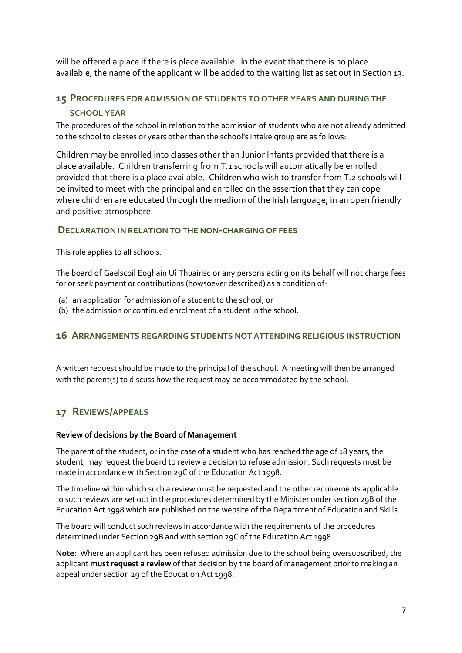will be offered a place if there is place available. In the event that there is no place available, the name of the applicant will be added to the waiting list as set out in Section 13.

# **15 PROCEDURES FOR ADMISSION OF STUDENTS TO OTHER YEARS AND DURING THE SCHOOL YEAR**

The procedures of the school in relation to the admission of students who are not already admitted to the school to classes or years other than the school's intake group are as follows:

Children may be enrolled into classes other than Junior Infants provided that there is a place available. Children transferring from T.1 schools will automatically be enrolled provided that there is a place available. Children who wish to transfer from T.2 schools will be invited to meet with the principal and enrolled on the assertion that they can cope where children are educated through the medium of the Irish language, in an open friendly and positive atmosphere.

#### **DECLARATION IN RELATION TO THE NON-CHARGING OF FEES**

This rule applies to all schools.

The board of Gaelscoil Eoghain Uí Thuairisc or any persons acting on its behalf will not charge fees for or seek payment or contributions (howsoever described) as a condition of-

- (a) an application for admission of a student to the school, or
- (b) the admission or continued enrolment of a student in the school.

#### **16 ARRANGEMENTS REGARDING STUDENTS NOT ATTENDING RELIGIOUS INSTRUCTION**

A written request should be made to the principal of the school. A meeting will then be arranged with the parent(s) to discuss how the request may be accommodated by the school.

# **17 REVIEWS/APPEALS**

#### **Review of decisions by the Board of Management**

The parent of the student, or in the case of a student who has reached the age of 18 years, the student, may request the board to review a decision to refuse admission. Such requests must be made in accordance with Section 29C of the Education Act 1998.

The timeline within which such a review must be requested and the other requirements applicable to such reviews are set out in the procedures determined by the Minister under section 29B of the Education Act 1998 which are published on the website of the Department of Education and Skills.

The board will conduct such reviews in accordance with the requirements of the procedures determined under Section 29B and with section 29C of the Education Act 1998.

**Note:** Where an applicant has been refused admission due to the school being oversubscribed, the applicant **must request a review** of that decision by the board of management prior to making an appeal under section 29 of the Education Act 1998.